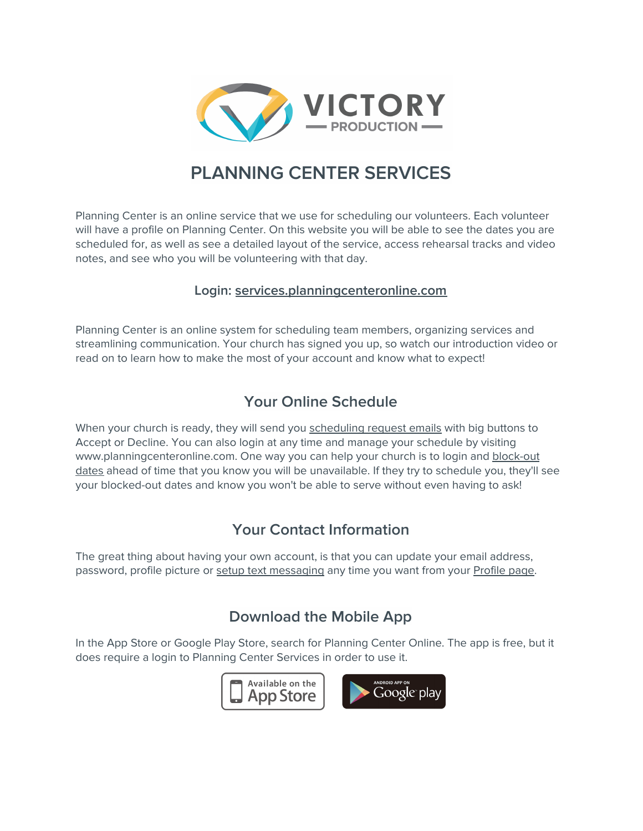

# **PLANNING CENTER SERVICES**

Planning Center is an online service that we use for scheduling our volunteers. Each volunteer will have a profile on Planning Center. On this website you will be able to see the dates you are scheduled for, as well as see a detailed layout of the service, access rehearsal tracks and video notes, and see who you will be volunteering with that day.

#### **Login: [services.planningcenteronline.com](http://services.planningcenteronline.com/)**

Planning Center is an online system for scheduling team members, organizing services and streamlining communication. Your church has signed you up, so watch our introduction video or read on to learn how to make the most of your account and know what to expect!

### **Your Online Schedule**

When your church is ready, they will send you [scheduling](https://pcoservices.zendesk.com/hc/en-us/articles/204261474) request emails with big buttons to Accept or Decline. You can also login at any time and manage your schedule by visiting www.planningcenteronline.com. One way you can help your church is to login and [block-out](https://pcoservices.zendesk.com/hc/en-us/articles/204261854) [dates](https://pcoservices.zendesk.com/hc/en-us/articles/204261854) ahead of time that you know you will be unavailable. If they try to schedule you, they'll see your blocked-out dates and know you won't be able to serve without even having to ask!

### **Your Contact Information**

The great thing about having your own account, is that you can update your email address, password, profile picture or setup text [messaging](https://pcoservices.zendesk.com/hc/en-us/articles/204460770) any time you want from your [Profile](https://pcoservices.zendesk.com/hc/en-us/articles/204261494) page.

### **Download the Mobile App**

In the App Store or Google Play Store, search for Planning Center Online. The app is free, but it does require a login to Planning Center Services in order to use it.

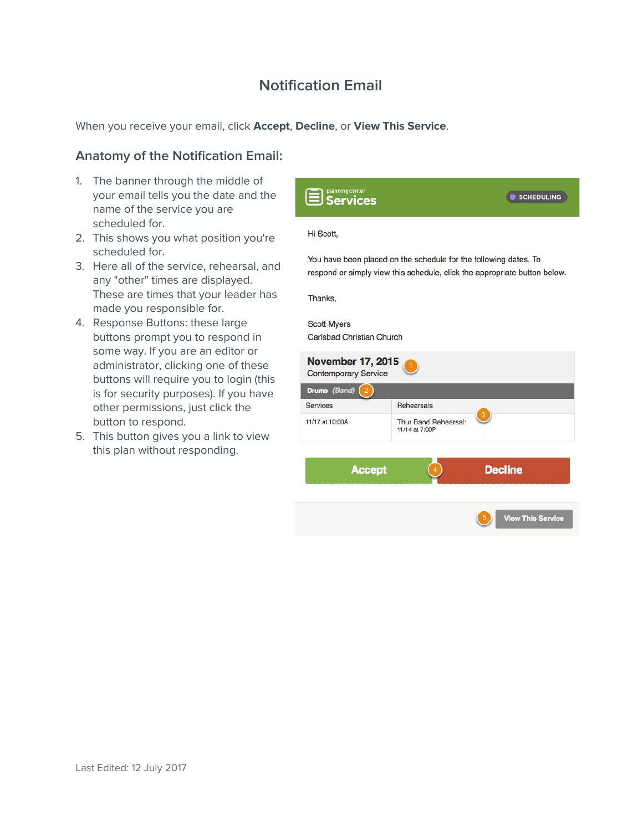### **Notification Email**

When you receive your email, click **Accept**, **Decline**, or **View This Service**.

#### **Anatomy of the Notification Email:**

- 1. The banner through the middle of your email tells you the date and the name of the service you are scheduled for.
- 2. This shows you what position you're scheduled for.
- 3. Here all of the service, rehearsal, and any "other" times are displayed. These are times that your leader has made you responsible for.
- 4. Response Buttons: these large buttons prompt you to respond in some way. If you are an editor or administrator, clicking one of these buttons will require you to login (this is for security purposes). If you have other permissions, just click the button to respond.
- 5. This button gives you a link to view this plan without responding.

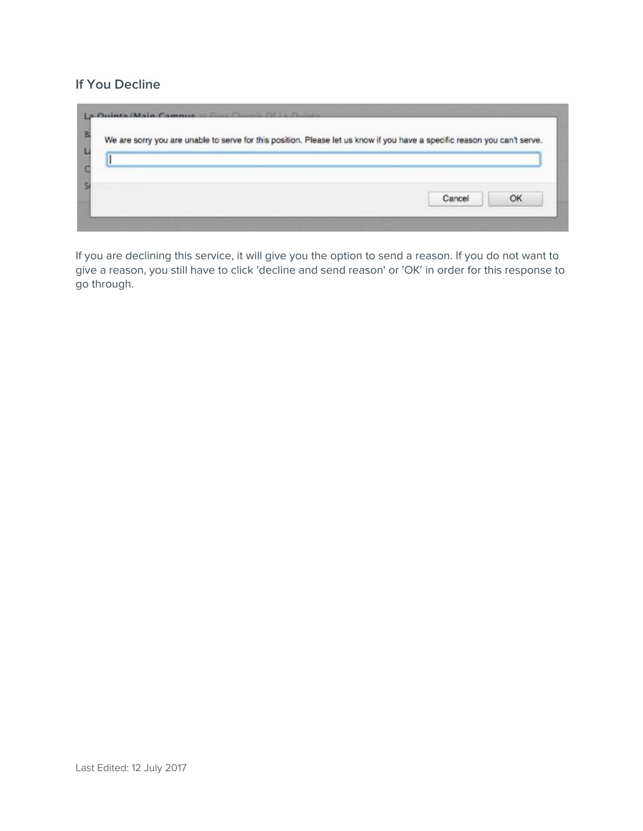### **If You Decline**

|  | We are sorry you are unable to serve for this position. Please let us know if you have a specific reason you can't serve. |  |
|--|---------------------------------------------------------------------------------------------------------------------------|--|
|  |                                                                                                                           |  |
|  |                                                                                                                           |  |
|  |                                                                                                                           |  |
|  |                                                                                                                           |  |

If you are declining this service, it will give you the option to send a reason. If you do not want to give a reason, you still have to click 'decline and send reason' or 'OK' in order for this response to go through.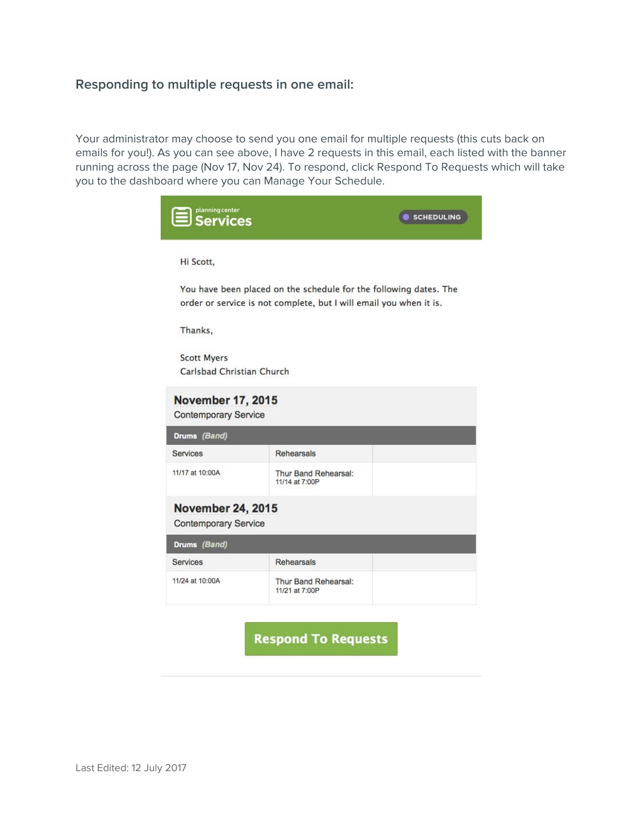#### **Responding to multiple requests in one email:**

Your administrator may choose to send you one email for multiple requests (this cuts back on emails for you!). As you can see above, I have 2 requests in this email, each listed with the banner running across the page (Nov 17, Nov 24). To respond, click Respond To Requests which will take you to the dashboard where you can Manage Your [Schedule](https://pcoservices.zendesk.com/hc/en-us/articles/204460250).



**Respond To Requests**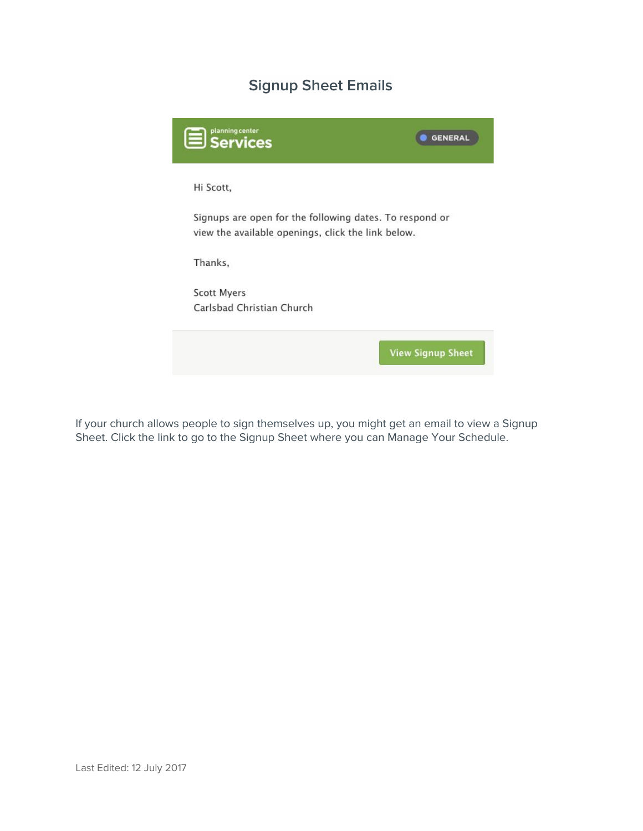### **Signup Sheet Emails**



If your church allows people to sign themselves up, you might get an email to view a Signup Sheet. Click the link to go to the Signup Sheet where you can Manage Your [Schedule.](https://pcoservices.zendesk.com/hc/en-us/articles/204460250)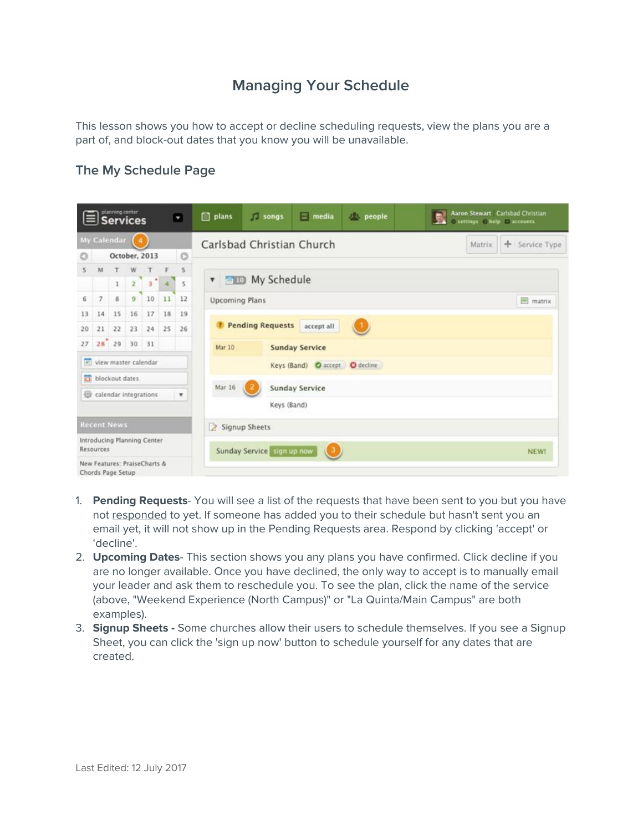## **Managing Your Schedule**

This lesson shows you how to accept or decline scheduling requests, view the plans you are a part of, and block-out dates that you know you will be unavailable.

#### **The My Schedule Page**

| planning center<br>Ы<br>$ \equiv $ Services |                                                    |                   |             |                              |                                   |              | [ ] plans | <b>Songs</b>                    | $=$ media                      | <b>Deople</b> | Aaron Stewart Carlsbad Christian<br>C settings C help C accounts |                |  |  |  |  |
|---------------------------------------------|----------------------------------------------------|-------------------|-------------|------------------------------|-----------------------------------|--------------|-----------|---------------------------------|--------------------------------|---------------|------------------------------------------------------------------|----------------|--|--|--|--|
|                                             |                                                    | My Calendar       |             |                              |                                   |              |           | Carlsbad Christian Church       |                                |               | Matrix                                                           | + Service Type |  |  |  |  |
| O                                           | $\circ$<br>October, 2013                           |                   |             |                              |                                   |              |           |                                 |                                |               |                                                                  |                |  |  |  |  |
| $\mathbf{s}$                                | M                                                  |                   | W           |                              |                                   | $\mathsf{s}$ |           |                                 |                                |               |                                                                  |                |  |  |  |  |
|                                             |                                                    | $\,1$             | $2^{\circ}$ | 3 <sup>o</sup>               | $\overline{A}$                    | 5            | 面 10<br>۷ | My Schedule                     |                                |               |                                                                  |                |  |  |  |  |
| 6                                           | $\overline{7}$                                     | 8                 | 9.          | 10                           | 11                                | 12           |           | <b>Upcoming Plans</b><br>matrix |                                |               |                                                                  |                |  |  |  |  |
| 13                                          | 14                                                 | 15                | 16          | 17                           | 18                                | 19           |           |                                 |                                |               |                                                                  |                |  |  |  |  |
| 20                                          | 21                                                 | 22                | 23          | 24                           | 25                                | 26           |           | Pending Requests accept all     |                                |               |                                                                  |                |  |  |  |  |
| 27                                          |                                                    | 28 29 30          |             | 31                           |                                   |              | Mar 10    |                                 | <b>Sunday Service</b>          |               |                                                                  |                |  |  |  |  |
| $\overline{a}$                              |                                                    |                   |             | view master calendar         |                                   |              |           |                                 | Keys (Band) @ accept @ decline |               |                                                                  |                |  |  |  |  |
| <b>ISI</b>                                  |                                                    | blockout dates    |             |                              |                                   |              |           |                                 | <b>Sunday Service</b>          |               |                                                                  |                |  |  |  |  |
|                                             | calendar integrations<br>$\boldsymbol{\mathrm{v}}$ |                   |             |                              |                                   | Mar 16       |           |                                 |                                |               |                                                                  |                |  |  |  |  |
|                                             |                                                    |                   |             |                              |                                   |              |           | Keys (Band)                     |                                |               |                                                                  |                |  |  |  |  |
| <b>Recent News</b>                          |                                                    |                   |             |                              | Signup Sheets                     |              |           |                                 |                                |               |                                                                  |                |  |  |  |  |
| Introducing Planning Center<br>Resources    |                                                    |                   |             |                              | Sunday Service sign up now<br>K3. |              |           |                                 |                                |               |                                                                  |                |  |  |  |  |
|                                             |                                                    | Chords Page Setup |             | New Features: PraiseCharts & |                                   |              |           |                                 |                                |               |                                                                  | <b>NEW!</b>    |  |  |  |  |

- 1. **Pending Requests** You will see a list of the requests that have been sent to you but you have not [responded](https://pcoservices.zendesk.com/hc/en-us/articles/204261474) to yet. If someone has added you to their schedule but hasn't sent you an email yet, it will not show up in the Pending Requests area. Respond by clicking 'accept' or 'decline'.
- 2. **Upcoming Dates** This section shows you any plans you have confirmed. Click decline if you are no longer available. Once you have declined, the only way to accept is to manually email your leader and ask them to reschedule you. To see the plan, click the name of the service (above, "Weekend Experience (North Campus)" or "La Quinta/Main Campus" are both examples).
- 3. **Signup Sheets -** Some churches allow their users to schedule themselves. If you see a Signup Sheet, you can click the 'sign up now' button to schedule yourself for any dates that are created.